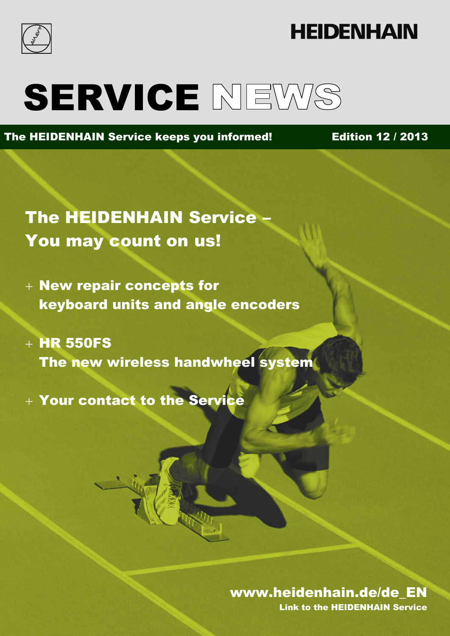

# **HEIDENHAIN**

# SERVICE NEWS

### The HEIDENHAIN Service keeps you informed! Edition 12 / 2013

The HEIDENHAIN Service – You may count on us!

- New repair concepts for keyboard units and angle encoders
- $+$  HR 550FS The new wireless handwheel system
- Your contact to the Service

#### Edition 12 / 2013 www.heidenhain.de/de\_EN www.heidenhain.de/de\_EN

Link to the HEIDENHAIN Service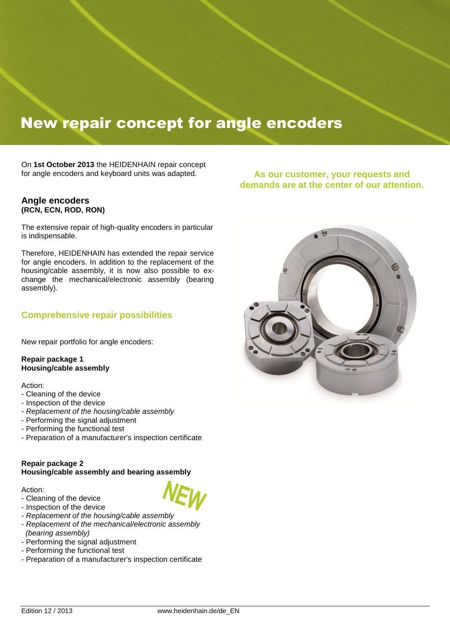### New repair concept for angle encoders

On **1st October 2013** the HEIDENHAIN repair concept for angle encoders and keyboard units was adapted.

#### **Angle encoders (RCN, ECN, ROD, RON)**

The extensive repair of high-quality encoders in particular is indispensable.

Therefore, HEIDENHAIN has extended the repair service for angle encoders. In addition to the replacement of the housing/cable assembly, it is now also possible to exchange the mechanical/electronic assembly (bearing assembly).

#### **Comprehensive repair possibilities**

New repair portfolio for angle encoders:

**Repair package 1 Housing/cable assembly**

Action:

- Cleaning of the device
- Inspection of the device
- *- Replacement of the housing/cable assembly*
- Performing the signal adjustment
- Performing the functional test
- Preparation of a manufacturer's inspection certificate

#### **Repair package 2 Housing/cable assembly and bearing assembly**

Action:

- Cleaning of the device
- Inspection of the device
- *- Replacement of the housing/cable assembly*
- *- Replacement of the mechanical/electronic assembly (bearing assembly)*
- Performing the signal adjustment
- Performing the functional test
- Preparation of a manufacturer's inspection certificate

**As our customer, your requests and demands are at the center of our attention.**

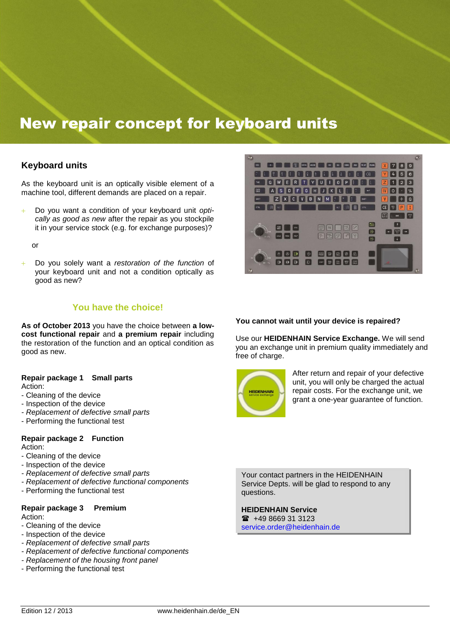### New repair concept for keyboard units

#### **Keyboard units**

As the keyboard unit is an optically visible element of a machine tool, different demands are placed on a repair.

 Do you want a condition of your keyboard unit *optically as good as new* after the repair as you stockpile it in your service stock (e.g. for exchange purposes)?

or

 Do you solely want a *restoration of the function* of your keyboard unit and not a condition optically as good as new?

#### **You have the choice!**

**As of October 2013** you have the choice between **a lowcost functional repair** and **a premium repair** including the restoration of the function and an optical condition as good as new.

#### **Repair package 1 Small parts** Action:

- Cleaning of the device
- Inspection of the device
- *- Replacement of defective small parts*
- Performing the functional test

#### **Repair package 2 Function** Action:

- Cleaning of the device
- Inspection of the device
- *- Replacement of defective small parts*
- *- Replacement of defective functional components*
- Performing the functional test

#### **Repair package 3 Premium** Action:

- Cleaning of the device
- Inspection of the device
- *- Replacement of defective small parts*
- *- Replacement of defective functional components*
- *- Replacement of the housing front panel*
- Performing the functional test



#### **You cannot wait until your device is repaired?**

Use our **HEIDENHAIN Service Exchange.** We will send you an exchange unit in premium quality immediately and free of charge.



After return and repair of your defective unit, you will only be charged the actual repair costs. For the exchange unit, we grant a one-year guarantee of function.

Your contact partners in the HEIDENHAIN Service Depts. will be glad to respond to any questions.

#### **HEIDENHAIN Service**

 $\bullet$  +49 8669 31 3123 [service.order@heidenhain.de](mailto:service.order@heidenhain.de)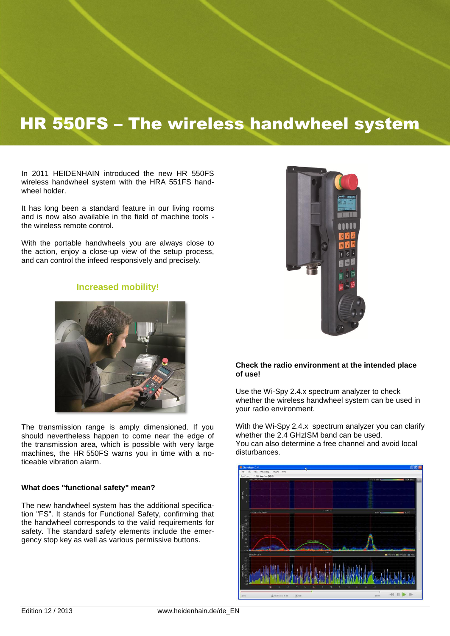### HR 550FS – The wireless handwheel system

In 2011 HEIDENHAIN introduced the new HR 550FS wireless handwheel system with the HRA 551FS handwheel holder.

It has long been a standard feature in our living rooms and is now also available in the field of machine tools the wireless remote control.

With the portable handwheels you are always close to the action, enjoy a close-up view of the setup process, and can control the infeed responsively and precisely.

#### **Increased mobility!**



The transmission range is amply dimensioned. If you should nevertheless happen to come near the edge of the transmission area, which is possible with very large machines, the HR 550FS warns you in time with a noticeable vibration alarm.

#### **What does "functional safety" mean?**

The new handwheel system has the additional specification "FS". It stands for Functional Safety, confirming that the handwheel corresponds to the valid requirements for safety. The standard safety elements include the emergency stop key as well as various permissive buttons.



#### **Check the radio environment at the intended place of use!**

Use the Wi-Spy 2.4.x spectrum analyzer to check whether the wireless handwheel system can be used in your radio environment.

With the Wi-Spy 2.4.x spectrum analyzer you can clarify whether the 2.4 GHzISM band can be used. You can also determine a free channel and avoid local disturbances.

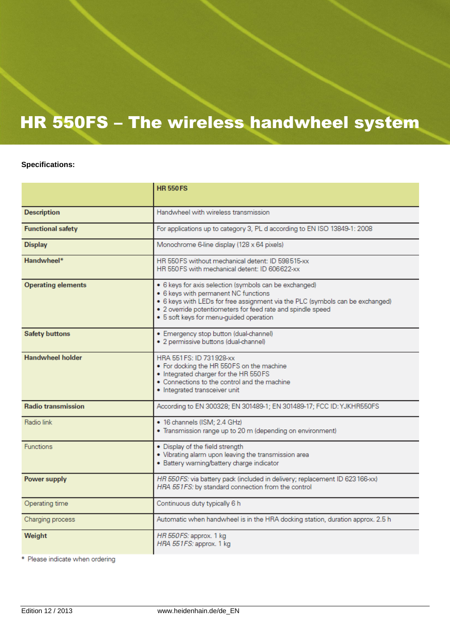# HR 550FS – The wireless handwheel system

#### **Specifications:**

|                           | <b>HR 550 FS</b>                                                                                                                                                                                                                                                                          |  |
|---------------------------|-------------------------------------------------------------------------------------------------------------------------------------------------------------------------------------------------------------------------------------------------------------------------------------------|--|
|                           |                                                                                                                                                                                                                                                                                           |  |
| <b>Description</b>        | Handwheel with wireless transmission                                                                                                                                                                                                                                                      |  |
| <b>Functional safety</b>  | For applications up to category 3, PL d according to EN ISO 13849-1: 2008                                                                                                                                                                                                                 |  |
| <b>Display</b>            | Monochrome 6-line display (128 x 64 pixels)                                                                                                                                                                                                                                               |  |
| Handwheel*                | HR 550 FS without mechanical detent: ID 598 515-xx<br>HR 550 FS with mechanical detent: ID 606622-xx                                                                                                                                                                                      |  |
| <b>Operating elements</b> | • 6 keys for axis selection (symbols can be exchanged)<br>• 6 keys with permanent NC functions<br>. 6 keys with LEDs for free assignment via the PLC (symbols can be exchanged)<br>. 2 override potentiometers for feed rate and spindle speed<br>· 5 soft keys for menu-guided operation |  |
| <b>Safety buttons</b>     | · Emergency stop button (dual-channel)<br>· 2 permissive buttons (dual-channel)                                                                                                                                                                                                           |  |
| <b>Handwheel holder</b>   | HRA 551 FS: ID 731 928-xx<br>. For docking the HR 550FS on the machine<br>. Integrated charger for the HR 550 FS<br>. Connections to the control and the machine<br>· Integrated transceiver unit                                                                                         |  |
| <b>Radio transmission</b> | According to EN 300328; EN 301489-1; EN 301489-17; FCC ID: YJKHR550FS                                                                                                                                                                                                                     |  |
| <b>Radio link</b>         | · 16 channels (ISM; 2.4 GHz)<br>. Transmission range up to 20 m (depending on environment)                                                                                                                                                                                                |  |
| <b>Functions</b>          | • Display of the field strength<br>. Vibrating alarm upon leaving the transmission area<br>· Battery warning/battery charge indicator                                                                                                                                                     |  |
| <b>Power supply</b>       | HR 550FS: via battery pack (included in delivery; replacement ID 623 166-xx)<br>HRA 551FS: by standard connection from the control                                                                                                                                                        |  |
| Operating time            | Continuous duty typically 6 h                                                                                                                                                                                                                                                             |  |
| Charging process          | Automatic when handwheel is in the HRA docking station, duration approx. 2.5 h                                                                                                                                                                                                            |  |
| Weight                    | HR 550FS: approx. 1 kg<br>HRA 551FS: approx. 1 kg                                                                                                                                                                                                                                         |  |

\* Please indicate when ordering